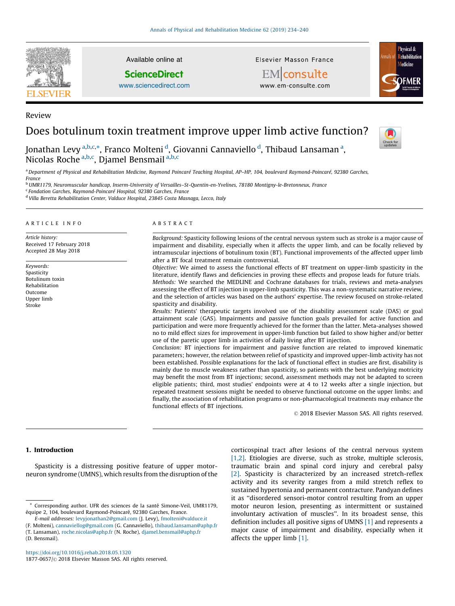

Review

Available online at

**ScienceDirect** 

[www.sciencedirect.com](http://www.sciencedirect.com/science/journal/18770657)

Elsevier Masson France





# Does botulinum toxin treatment improve upper limb active function?

Check fo

Jonathan Levy <sup>a,b,c,</sup>\*, Franco Molteni <sup>d</sup>, Giovanni Cannaviello <sup>d</sup>, Thibaud Lansaman <sup>a</sup>, Nicolas Roche <sup>a,b,c</sup>, Djamel Bensmail <sup>a,b,c</sup>

a Department of Physical and Rehabilitation Medicine, Raymond Poincaré Teaching Hospital, AP–HP, 104, boulevard Raymond-Poincaré, 92380 Garches, France

<sup>b</sup> UMR1179, Neuromuscular handicap, Inserm-University of Versailles-St-Quentin-en-Yvelines, 78180 Montigny-le-Bretonneux, France

<sup>c</sup> Fondation Garches, Raymond-Poincaré Hospital, 92380 Garches, France

<sup>d</sup> Villa Beretta Rehabilitation Center, Valduce Hospital, 23845 Costa Masnaga, Lecco, Italy

### ARTICLE INFO

Article history: Received 17 February 2018 Accepted 28 May 2018

Keywords: Spasticity Botulinum toxin Rehabilitation Outcome Upper limb Stroke

# ABSTRACT

Background: Spasticity following lesions of the central nervous system such as stroke is a major cause of impairment and disability, especially when it affects the upper limb, and can be focally relieved by intramuscular injections of botulinum toxin (BT). Functional improvements of the affected upper limb after a BT focal treatment remain controversial.

Objective: We aimed to assess the functional effects of BT treatment on upper-limb spasticity in the literature, identify flaws and deficiencies in proving these effects and propose leads for future trials. Methods: We searched the MEDLINE and Cochrane databases for trials, reviews and meta-analyses assessing the effect of BT injection in upper-limb spasticity. This was a non-systematic narrative review, and the selection of articles was based on the authors' expertise. The review focused on stroke-related spasticity and disability.

Results: Patients' therapeutic targets involved use of the disability assessment scale (DAS) or goal attainment scale (GAS). Impairments and passive function goals prevailed for active function and participation and were more frequently achieved for the former than the latter. Meta-analyses showed no to mild effect sizes for improvement in upper-limb function but failed to show higher and/or better use of the paretic upper limb in activities of daily living after BT injection.

Conclusion: BT injections for impairment and passive function are related to improved kinematic parameters; however, the relation between relief of spasticity and improved upper-limb activity has not been established. Possible explanations for the lack of functional effect in studies are first, disability is mainly due to muscle weakness rather than spasticity, so patients with the best underlying motricity may benefit the most from BT injections; second, assessment methods may not be adapted to screen eligible patients; third, most studies' endpoints were at 4 to 12 weeks after a single injection, but repeated treatment sessions might be needed to observe functional outcome on the upper limbs; and finally, the association of rehabilitation programs or non-pharmacological treatments may enhance the functional effects of BT injections.

-<sup>C</sup> 2018 Elsevier Masson SAS. All rights reserved.

# 1. Introduction

Spasticity is a distressing positive feature of upper motorneuron syndrome (UMNS), which results from the disruption of the

<https://doi.org/10.1016/j.rehab.2018.05.1320> 1877-0657/© 2018 Elsevier Masson SAS. All rights reserved. corticospinal tract after lesions of the central nervous system [\[1,2\]](#page-5-0). Etiologies are diverse, such as stroke, multiple sclerosis, traumatic brain and spinal cord injury and cerebral palsy [\[2\].](#page-5-0) Spasticity is characterized by an increased stretch-reflex activity and its severity ranges from a mild stretch reflex to sustained hypertonia and permanent contracture. Pandyan defines it as ''disordered sensori-motor control resulting from an upper motor neuron lesion, presenting as intermittent or sustained involuntary activation of muscles''. In its broadest sense, this definition includes all positive signs of UMNS [\[1\]](#page-5-0) and represents a major cause of impairment and disability, especially when it affects the upper limb [\[1\].](#page-5-0)

Corresponding author. UFR des sciences de la santé Simone-Veil, UMR1179, équipe 2, 104, boulevard Raymond-Poincaré, 92380 Garches, France.

E-mail addresses: [levyjonathan2@gmail.com](mailto:levyjonathan2@gmail.com) (J. Levy), [fmolteni@valduce.it](mailto:fmolteni@valduce.it) (F. Molteni), [cannaviellog@gmail.com](mailto:cannaviellog@gmail.com) (G. Cannaviello), [thibaud.lansaman@aphp.fr](mailto:thibaud.lansaman@aphp.fr) (T. Lansaman), [roche.nicolas@aphp.fr](mailto:roche.nicolas@aphp.fr) (N. Roche), [djamel.bensmail@aphp.fr](mailto:djamel.bensmail@aphp.fr)

<sup>(</sup>D. Bensmail).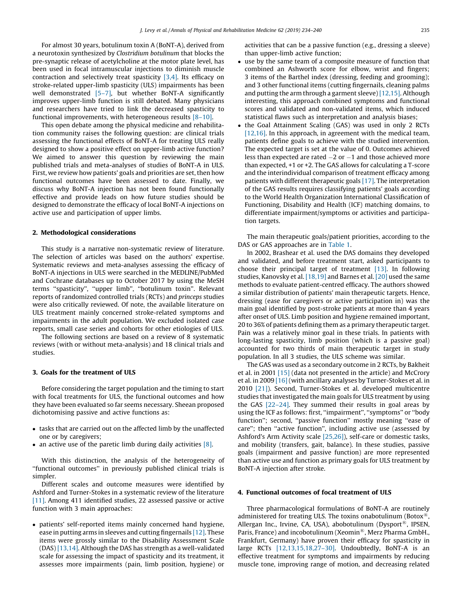For almost 30 years, botulinum toxin A (BoNT-A), derived from a neurotoxin synthesized by Clostridium botulinum that blocks the pre-synaptic release of acetylcholine at the motor plate level, has been used in focal intramuscular injections to diminish muscle contraction and selectively treat spasticity [\[3,4\].](#page-5-0) Its efficacy on stroke-related upper-limb spasticity (ULS) impairments has been well demonstrated [5-7], but whether BoNT-A significantly improves upper-limb function is still debated. Many physicians and researchers have tried to link the decreased spasticity to functional improvements, with heterogeneous results [\[8–10\].](#page-5-0)

This open debate among the physical medicine and rehabilitation community raises the following question: are clinical trials assessing the functional effects of BoNT-A for treating ULS really designed to show a positive effect on upper-limb active function? We aimed to answer this question by reviewing the main published trials and meta-analyses of studies of BoNT-A in ULS. First, we review how patients' goals and priorities are set, then how functional outcomes have been assessed to date. Finally, we discuss why BoNT-A injection has not been found functionally effective and provide leads on how future studies should be designed to demonstrate the efficacy of local BoNT-A injections on active use and participation of upper limbs.

## 2. Methodological considerations

This study is a narrative non-systematic review of literature. The selection of articles was based on the authors' expertise. Systematic reviews and meta-analyses assessing the efficacy of BoNT-A injections in ULS were searched in the MEDLINE/PubMed and Cochrane databases up to October 2017 by using the MeSH terms ''spasticity'', ''upper limb'', ''botulinum toxin''. Relevant reports of randomized controlled trials (RCTs) and princeps studies were also critically reviewed. Of note, the available literature on ULS treatment mainly concerned stroke-related symptoms and impairments in the adult population. We excluded isolated case reports, small case series and cohorts for other etiologies of ULS.

The following sections are based on a review of 8 systematic reviews (with or without meta-analysis) and 18 clinical trials and studies.

#### 3. Goals for the treatment of ULS

Before considering the target population and the timing to start with focal treatments for ULS, the functional outcomes and how they have been evaluated so far seems necessary. Sheean proposed dichotomising passive and active functions as:

- tasks that are carried out on the affected limb by the unaffected one or by caregivers;
- $\bullet$  an active use of the paretic limb during daily activities  $[8]$ .

With this distinction, the analysis of the heterogeneity of ''functional outcomes'' in previously published clinical trials is simpler.

Different scales and outcome measures were identified by Ashford and Turner-Stokes in a systematic review of the literature [\[11\]](#page-5-0). Among 411 identified studies, 22 assessed passive or active function with 3 main approaches:

 patients' self-reported items mainly concerned hand hygiene, ease in putting arms in sleeves and cutting fingernails [\[12\]](#page-5-0). These items were grossly similar to the Disability Assessment Scale (DAS) [\[13,14\]](#page-5-0). Although the DAS has strength as a well-validated scale for assessing the impact of spasticity and its treatment, it assesses more impairments (pain, limb position, hygiene) or activities that can be a passive function (e.g., dressing a sleeve) than upper-limb active function;

- use by the same team of a composite measure of function that combined an Ashworth score for elbow, wrist and fingers; 3 items of the Barthel index (dressing, feeding and grooming); and 3 other functional items (cutting fingernails, cleaning palms and putting the arm through a garment sleeve) [\[12,15\].](#page-5-0) Although interesting, this approach combined symptoms and functional scores and validated and non-validated items, which induced statistical flaws such as interpretation and analysis biases;
- the Goal Attainment Scaling (GAS) was used in only 2 RCTs [\[12,16\].](#page-5-0) In this approach, in agreement with the medical team, patients define goals to achieve with the studied intervention. The expected target is set at the value of 0. Outcomes achieved less than expected are rated  $-2$  or  $-1$  and those achieved more than expected, +1 or +2. The GAS allows for calculating a T-score and the interindividual comparison of treatment efficacy among patients with different therapeutic goals [\[17\].](#page-5-0) The interpretation of the GAS results requires classifying patients' goals according to the World Health Organization International Classification of Functioning, Disability and Health (ICF) matching domains, to differentiate impairment/symptoms or activities and participation targets.

The main therapeutic goals/patient priorities, according to the DAS or GAS approaches are in [Table 1.](#page-2-0)

In 2002, Brashear et al. used the DAS domains they developed and validated, and before treatment start, asked participants to choose their principal target of treatment [\[13\]](#page-5-0). In following studies, Kanovsky et al. [\[18,19\]](#page-5-0) and Barnes et al. [\[20\]](#page-5-0) used the same methods to evaluate patient-centred efficacy. The authors showed a similar distribution of patients' main therapeutic targets. Hence, dressing (ease for caregivers or active participation in) was the main goal identified by post-stroke patients at more than 4 years after onset of ULS. Limb position and hygiene remained important, 20 to 36% of patients defining them as a primary therapeutic target. Pain was a relatively minor goal in these trials. In patients with long-lasting spasticity, limb position (which is a passive goal) accounted for two thirds of main therapeutic target in study population. In all 3 studies, the ULS scheme was similar.

The GAS was used as a secondary outcome in 2 RCTs, by Bakheit et al. in 2001 [\[15\]](#page-5-0) (data not presented in the article) and McCrory et al. in 2009 [\[16\]](#page-5-0) (with ancillary analyses by Turner-Stokes et al. in 2010 [\[21\]](#page-5-0)). Second, Turner-Stokes et al. developed multicentre studies that investigated the main goals for ULS treatment by using the GAS [\[22–24\]](#page-5-0). They summed their results in goal areas by using the ICF as follows: first, ''impairment'', ''symptoms'' or ''body function"; second, "passive function" mostly meaning "ease of care''; then ''active function'', including active use (assessed by Ashford's Arm Activity scale [\[25,26\]](#page-5-0)), self-care or domestic tasks, and mobility (transfers, gait, balance). In these studies, passive goals (impairment and passive function) are more represented than active use and function as primary goals for ULS treatment by BoNT-A injection after stroke.

#### 4. Functional outcomes of focal treatment of ULS

Three pharmacological formulations of BoNT-A are routinely administered for treating ULS. The toxins onabotulinum (Botox $\mathbb{R}$ ) Allergan Inc., Irvine, CA, USA), abobotulinum (Dysport<sup>®</sup>, IPSEN, Paris, France) and incobotulinum (Xeomin $^{\circledR}$ , Merz Pharma GmbH., Frankfurt, Germany) have proven their efficacy for spasticity in large RCTs [\[12,13,15,18,27–30\]](#page-5-0). Undoubtedly, BoNT-A is an effective treatment for symptoms and impairments by reducing muscle tone, improving range of motion, and decreasing related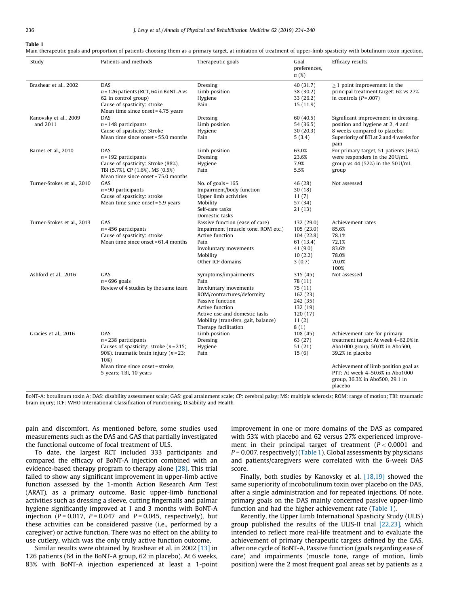## <span id="page-2-0"></span>Table 1

Main therapeutic goals and proportion of patients choosing them as a primary target, at initiation of treatment of upper-limb spasticity with botulinum toxin injection.

|                                   | Patients and methods                                                                                                                                                                               | Therapeutic goals                                                                                                                                                                                                          | Goal<br>preferences,                                                                           | Efficacy results                                                                                                                                                                                                                          |
|-----------------------------------|----------------------------------------------------------------------------------------------------------------------------------------------------------------------------------------------------|----------------------------------------------------------------------------------------------------------------------------------------------------------------------------------------------------------------------------|------------------------------------------------------------------------------------------------|-------------------------------------------------------------------------------------------------------------------------------------------------------------------------------------------------------------------------------------------|
|                                   |                                                                                                                                                                                                    |                                                                                                                                                                                                                            | n(%)                                                                                           |                                                                                                                                                                                                                                           |
| Brashear et al., 2002             | <b>DAS</b><br>$n = 126$ patients (RCT, 64 in BoNT-A vs<br>62 in control group)<br>Cause of spasticity: stroke<br>Mean time since onset = $4.75$ years                                              | Dressing<br>Limb position<br>Hygiene<br>Pain                                                                                                                                                                               | 40 (31.7)<br>38 (30.2)<br>33 (26.2)<br>15(11.9)                                                | $>1$ point improvement in the<br>principal treatment target: 62 vs 27%<br>in controls $(P=.007)$                                                                                                                                          |
| Kanovsky et al., 2009<br>and 2011 | <b>DAS</b><br>$n = 148$ participants<br>Cause of spasticity: Stroke<br>Mean time since onset = $55.0$ months                                                                                       | Dressing<br>Limb position<br>Hygiene<br>Pain                                                                                                                                                                               | 60(40.5)<br>54 (36.5)<br>30(20.3)<br>5(3.4)                                                    | Significant improvement in dressing,<br>position and hygiene at 2, 4 and<br>8 weeks compared to placebo.<br>Superiority of BTI at 2 and 4 weeks for<br>pain                                                                               |
| Barnes et al., 2010               | <b>DAS</b><br>$n = 192$ participants<br>Cause of spasticity: Stroke (88%),<br>TBI (5.7%), CP (1.6%), MS (0.5%)<br>Mean time since onset = 75.0 months                                              | Limb position<br>Dressing<br>Hygiene<br>Pain                                                                                                                                                                               | 63.0%<br>23.6%<br>7.9%<br>5.5%                                                                 | For primary target, 51 patients (63%)<br>were responders in the 20U/mL<br>group vs $44$ (52%) in the $50$ U/mL<br>group                                                                                                                   |
| Turner-Stokes et al., 2010        | GAS<br>$n = 90$ participants<br>Cause of spasticity: stroke<br>Mean time since onset = 5.9 years                                                                                                   | No. of goals = $165$<br>Impairment/body function<br>Upper limb activities<br>Mobility<br>Self-care tasks<br>Domestic tasks                                                                                                 | 46 (28)<br>30(18)<br>11(7)<br>57 (34)<br>21(13)                                                | Not assessed                                                                                                                                                                                                                              |
| Turner-Stokes et al., 2013        | GAS<br>$n = 456$ participants<br>Cause of spasticity: stroke<br>Mean time since onset = $61.4$ months                                                                                              | Passive function (ease of care)<br>Impairment (muscle tone, ROM etc.)<br>Active function<br>Pain<br>Involuntary movements<br>Mobility<br>Other ICF domains                                                                 | 132 (29.0)<br>105(23.0)<br>104 (22.8)<br>61 (13.4)<br>41 (9.0)<br>10(2.2)<br>3(0.7)            | Achievement rates<br>85.6%<br>78.1%<br>72.1%<br>83.6%<br>78.0%<br>70.0%<br>100%                                                                                                                                                           |
| Ashford et al., 2016              | GAS<br>$n = 696$ goals<br>Review of 4 studies by the same team                                                                                                                                     | Symptoms/impairments<br>Pain<br>Involuntary movements<br>ROM/contractures/deformity<br>Passive function<br>Active function<br>Active use and domestic tasks<br>Mobility (transfers, gait, balance)<br>Therapy facilitation | 315 (45)<br>78 (11)<br>75 (11)<br>162 (23)<br>242 (35)<br>132 (19)<br>120(17)<br>11(2)<br>8(1) | Not assessed                                                                                                                                                                                                                              |
| Gracies et al., 2016              | <b>DAS</b><br>$n = 238$ participants<br>Causes of spasticity: stroke $(n=215)$ ;<br>90%), traumatic brain injury ( $n = 23$ ;<br>10%)<br>Mean time since onset = stroke,<br>5 years; TBI, 10 years | Limb position<br>Dressing<br>Hygiene<br>Pain                                                                                                                                                                               | 108(45)<br>63 (27)<br>51(21)<br>15(6)                                                          | Achievement rate for primary<br>treatment target: At week 4-62.0% in<br>Abo1000 group, 50.0% in Abo500,<br>39.2% in placebo<br>Achievement of limb position goal as<br>PTT: At week 4-50.6% in Abo1000<br>group, 36.3% in Abo500, 29.1 in |

BoNT-A: botulinum toxin A; DAS: disability assessment scale; GAS: goal attainment scale; CP: cerebral palsy; MS: multiple sclerosis; ROM: range of motion; TBI: traumatic brain injury; ICF: WHO International Classification of Functioning, Disability and Health

pain and discomfort. As mentioned before, some studies used measurements such as the DAS and GAS that partially investigated the functional outcome of focal treatment of ULS.

To date, the largest RCT included 333 participants and compared the efficacy of BoNT-A injection combined with an evidence-based therapy program to therapy alone [\[28\].](#page-5-0) This trial failed to show any significant improvement in upper-limb active function assessed by the 1-month Action Research Arm Test (ARAT), as a primary outcome. Basic upper-limb functional activities such as dressing a sleeve, cutting fingernails and palmar hygiene significantly improved at 1 and 3 months with BoNT-A injection ( $P = 0.017$ ,  $P = 0.047$  and  $P = 0.045$ , respectively), but these activities can be considered passive (i.e., performed by a caregiver) or active function. There was no effect on the ability to use cutlery, which was the only truly active function outcome.

Similar results were obtained by Brashear et al. in 2002 [\[13\]](#page-5-0) in 126 patients (64 in the BoNT-A group, 62 in placebo). At 6 weeks, 83% with BoNT-A injection experienced at least a 1-point improvement in one or more domains of the DAS as compared with 53% with placebo and 62 versus 27% experienced improvement in their principal target of treatment  $(P < 0.0001$  and  $P = 0.007$ , respectively) (Table 1). Global assessments by physicians and patients/caregivers were correlated with the 6-week DAS score.

Finally, both studies by Kanovsky et al. [\[18,19\]](#page-5-0) showed the same superiority of incobotulinum toxin over placebo on the DAS, after a single administration and for repeated injections. Of note, primary goals on the DAS mainly concerned passive upper-limb function and had the higher achievement rate (Table 1).

Recently, the Upper Limb International Spasticity Study (ULIS) group published the results of the ULIS-II trial [\[22,23\],](#page-5-0) which intended to reflect more real-life treatment and to evaluate the achievement of primary therapeutic targets defined by the GAS, after one cycle of BoNT-A. Passive function (goals regarding ease of care) and impairments (muscle tone, range of motion, limb position) were the 2 most frequent goal areas set by patients as a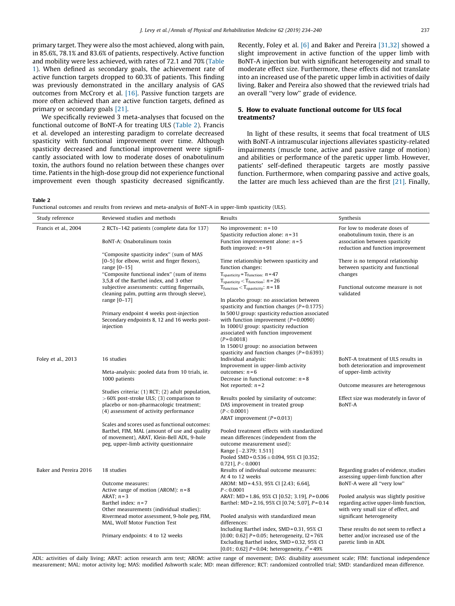primary target. They were also the most achieved, along with pain, in 85.6%, 78.1% and 83.6% of patients, respectively. Active function and mobility were less achieved, with rates of 72.1 and 70% ([Table](#page-2-0) [1](#page-2-0)). When defined as secondary goals, the achievement rate of active function targets dropped to 60.3% of patients. This finding was previously demonstrated in the ancillary analysis of GAS outcomes from McCrory et al. [\[16\].](#page-5-0) Passive function targets are more often achieved than are active function targets, defined as primary or secondary goals [\[21\]](#page-5-0).

We specifically reviewed 3 meta-analyses that focused on the functional outcome of BoNT-A for treating ULS (Table 2). Francis et al. developed an interesting paradigm to correlate decreased spasticity with functional improvement over time. Although spasticity decreased and functional improvement were significantly associated with low to moderate doses of onabotulinum toxin, the authors found no relation between these changes over time. Patients in the high-dose group did not experience functional improvement even though spasticity decreased significantly. Recently, Foley et al. [\[6\]](#page-5-0) and Baker and Pereira [\[31,32\]](#page-5-0) showed a slight improvement in active function of the upper limb with BoNT-A injection but with significant heterogeneity and small to moderate effect size. Furthermore, these effects did not translate into an increased use of the paretic upper limb in activities of daily living. Baker and Pereira also showed that the reviewed trials had an overall ''very low'' grade of evidence.

# 5. How to evaluate functional outcome for ULS focal treatments?

In light of these results, it seems that focal treatment of ULS with BoNT-A intramuscular injections alleviates spasticity-related impairments (muscle tone, active and passive range of motion) and abilities or performance of the paretic upper limb. However, patients' self-defined therapeutic targets are mostly passive function. Furthermore, when comparing passive and active goals, the latter are much less achieved than are the first [\[21\].](#page-5-0) Finally,

# Table 2

Functional outcomes and results from reviews and meta-analysis of BoNT-A in upper-limb spasticity (ULS).

| Francis et al., 2004<br>range $[0-15]$<br>range [0-17]<br>injection | 2 RCTs–142 patients (complete data for 137)<br>BoNT-A: Onabotulinum toxin<br>"Composite spasticity index" (sum of MAS<br>[0-5] for elbow, wrist and finger flexors),<br>"Composite functional index" (sum of items<br>3,5,8 of the Barthel index, and 3 other<br>subjective assessments: cutting fingernails,<br>cleaning palm, putting arm through sleeve),<br>Primary endpoint 4 weeks post-injection<br>Secondary endpoints 8, 12 and 16 weeks post- | No improvement: $n = 10$<br>Spasticity reduction alone: $n = 31$<br>Function improvement alone: $n = 5$<br>Both improved: $n = 91$<br>Time relationship between spasticity and<br>function changes:<br>$T_{spasticity} = T_{function}$ : $n = 47$<br>$T_{spasticity} < T_{function}$ : $n = 26$<br>$T_{\text{function}} < T_{\text{spasticity}}$ : $n = 18$<br>In placebo group: no association between<br>spasticity and function changes $(P=0.1775)$ | For low to moderate doses of<br>onabotulinum toxin, there is an<br>association between spasticity<br>reduction and function improvement<br>There is no temporal relationship<br>between spasticity and functional<br>changes<br>Functional outcome measure is not<br>validated          |
|---------------------------------------------------------------------|---------------------------------------------------------------------------------------------------------------------------------------------------------------------------------------------------------------------------------------------------------------------------------------------------------------------------------------------------------------------------------------------------------------------------------------------------------|---------------------------------------------------------------------------------------------------------------------------------------------------------------------------------------------------------------------------------------------------------------------------------------------------------------------------------------------------------------------------------------------------------------------------------------------------------|-----------------------------------------------------------------------------------------------------------------------------------------------------------------------------------------------------------------------------------------------------------------------------------------|
|                                                                     |                                                                                                                                                                                                                                                                                                                                                                                                                                                         |                                                                                                                                                                                                                                                                                                                                                                                                                                                         |                                                                                                                                                                                                                                                                                         |
|                                                                     |                                                                                                                                                                                                                                                                                                                                                                                                                                                         |                                                                                                                                                                                                                                                                                                                                                                                                                                                         |                                                                                                                                                                                                                                                                                         |
|                                                                     |                                                                                                                                                                                                                                                                                                                                                                                                                                                         | In 500 U group: spasticity reduction associated                                                                                                                                                                                                                                                                                                                                                                                                         |                                                                                                                                                                                                                                                                                         |
|                                                                     |                                                                                                                                                                                                                                                                                                                                                                                                                                                         | with function improvement $(P=0.0090)$<br>In 1000U group: spasticity reduction<br>associated with function improvement<br>$(P=0.0018)$<br>In 1500 U group: no association between<br>spasticity and function changes $(P=0.6393)$                                                                                                                                                                                                                       |                                                                                                                                                                                                                                                                                         |
| 16 studies<br>Foley et al., 2013                                    | Meta-analysis: pooled data from 10 trials, ie.                                                                                                                                                                                                                                                                                                                                                                                                          | Individual analysis:<br>Improvement in upper-limb activity<br>outcomes: $n=6$                                                                                                                                                                                                                                                                                                                                                                           | BoNT-A treatment of ULS results in<br>both deterioration and improvement<br>of upper-limb activity                                                                                                                                                                                      |
| 1000 patients                                                       | Studies criteria: (1) RCT; (2) adult population,                                                                                                                                                                                                                                                                                                                                                                                                        | Decrease in functional outcome: $n = 8$<br>Not reported: $n=2$                                                                                                                                                                                                                                                                                                                                                                                          | Outcome measures are heterogenous                                                                                                                                                                                                                                                       |
|                                                                     | >60% post-stroke ULS; (3) comparison to<br>placebo or non-pharmacologic treatment;<br>(4) assessment of activity performance<br>Scales and scores used as functional outcomes:                                                                                                                                                                                                                                                                          | Results pooled by similarity of outcome:<br>DAS improvement in treated group<br>(P < 0.0001)<br>ARAT improvement $(P=0.013)$                                                                                                                                                                                                                                                                                                                            | Effect size was moderately in favor of<br>BoNT-A                                                                                                                                                                                                                                        |
|                                                                     | Barthel, FIM, MAL (amount of use and quality<br>of movement), ARAT, Klein-Bell ADL, 9-hole<br>peg, upper-limb activity questionnaire                                                                                                                                                                                                                                                                                                                    | Pooled treatment effects with standardized<br>mean differences (independent from the<br>outcome measurement used):<br>Range $[-2.379; 1.511]$<br>Pooled SMD = $0.536 \pm 0.094$ , 95% CI [0.352;<br>0.721], $P < 0.0001$                                                                                                                                                                                                                                |                                                                                                                                                                                                                                                                                         |
| Baker and Pereira 2016<br>18 studies                                |                                                                                                                                                                                                                                                                                                                                                                                                                                                         | Results of individual outcome measures:<br>At 4 to 12 weeks                                                                                                                                                                                                                                                                                                                                                                                             | Regarding grades of evidence, studies<br>assessing upper-limb function after                                                                                                                                                                                                            |
| Outcome measures:<br>ARAT; $n=3$<br>Barthel index: $n = 7$          | Active range of motion (AROM): $n = 8$<br>Other measurements (individual studies):<br>Rivermead motor assessment, 9-hole peg, FIM,<br>MAL, Wolf Motor Function Test<br>Primary endpoints: 4 to 12 weeks                                                                                                                                                                                                                                                 | AROM: MD=4.53, 95% CI [2.43; 6.64],<br>P < 0.0001<br>ARAT: MD = 1.86, 95% CI [0.52; 3.19], P = 0.006<br>Barthel: MD = 2.16, 95% CI [0.74; 5.07], P = 0.14<br>Pooled analysis with standardized mean<br>differences:<br>Including Barthel index, SMD = 0.31, 95% CI<br>$[0.00; 0.62]$ P = 0.05; heterogeneity, I2 = 76%<br>Excluding Barthel index, SMD = 0.32, 95% CI                                                                                   | BoNT-A were all "very low"<br>Pooled analysis was slightly positive<br>regarding active upper-limb function,<br>with very small size of effect, and<br>significant heterogeneity<br>These results do not seem to reflect a<br>better and/or increased use of the<br>paretic limb in ADL |

ADL: activities of daily living; ARAT: action research arm test; AROM: active range of movement; DAS: disability assessment scale; FIM: functional independence measurement; MAL: motor activity log; MAS: modified Ashworth scale; MD: mean difference; RCT: randomized controlled trial; SMD: standardized mean difference.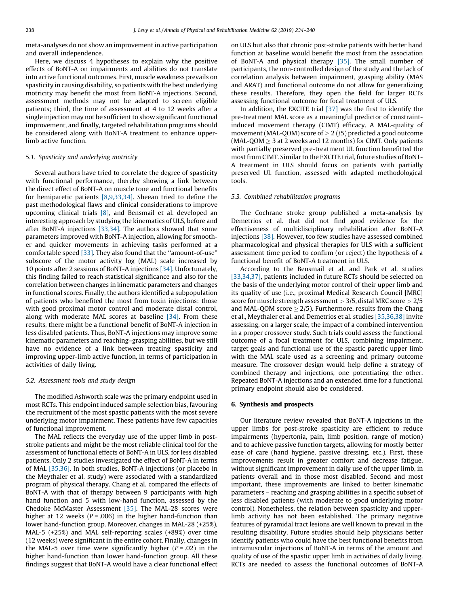meta-analyses do not show an improvement in active participation and overall independence.

Here, we discuss 4 hypotheses to explain why the positive effects of BoNT-A on impairments and abilities do not translate into active functional outcomes. First, muscle weakness prevails on spasticity in causing disability, so patients with the best underlying motricity may benefit the most from BoNT-A injections. Second, assessment methods may not be adapted to screen eligible patients; third, the time of assessment at 4 to 12 weeks after a single injection may not be sufficient to show significant functional improvement, and finally, targeted rehabilitation programs should be considered along with BoNT-A treatment to enhance upperlimb active function.

#### 5.1. Spasticity and underlying motricity

Several authors have tried to correlate the degree of spasticity with functional performance, thereby showing a link between the direct effect of BoNT-A on muscle tone and functional benefits for hemiparetic patients [\[8,9,33,34\].](#page-5-0) Sheean tried to define the past methodological flaws and clinical considerations to improve upcoming clinical trials  $[8]$ , and Bensmail et al. developed an interesting approach by studying the kinematics of ULS, before and after BoNT-A injections [\[33,34\]](#page-6-0). The authors showed that some parameters improved with BoNT-A injection, allowing for smoother and quicker movements in achieving tasks performed at a comfortable speed [\[33\].](#page-6-0) They also found that the ''amount-of-use'' subscore of the motor activity log (MAL) scale increased by 10 points after 2 sessions of BoNT-A injections [\[34\]](#page-6-0). Unfortunately, this finding failed to reach statistical significance and also for the correlation between changes in kinematic parameters and changes in functional scores. Finally, the authors identified a subpopulation of patients who benefited the most from toxin injections: those with good proximal motor control and moderate distal control, along with moderate MAL scores at baseline [\[34\]](#page-6-0). From these results, there might be a functional benefit of BoNT-A injection in less disabled patients. Thus, BoNT-A injections may improve some kinematic parameters and reaching–grasping abilities, but we still have no evidence of a link between treating spasticity and improving upper-limb active function, in terms of participation in activities of daily living.

## 5.2. Assessment tools and study design

The modified Ashworth scale was the primary endpoint used in most RCTs. This endpoint induced sample selection bias, favouring the recruitment of the most spastic patients with the most severe underlying motor impairment. These patients have few capacities of functional improvement.

The MAL reflects the everyday use of the upper limb in poststroke patients and might be the most reliable clinical tool for the assessment of functional effects of BoNT-A in ULS, for less disabled patients. Only 2 studies investigated the effect of BoNT-A in terms of MAL [\[35,36\]](#page-6-0). In both studies, BoNT-A injections (or placebo in the Meythaler et al. study) were associated with a standardized program of physical therapy. Chang et al. compared the effects of BoNT-A with that of therapy between 9 participants with high hand function and 5 with low-hand function, assessed by the Chedoke McMaster Assessment [\[35\]](#page-6-0). The MAL-28 scores were higher at 12 weeks ( $P = .006$ ) in the higher hand-function than lower hand-function group. Moreover, changes in MAL-28 (+25%), MAL-5 (+25%) and MAL self-reporting scales (+89%) over time (12 weeks) were significant in the entire cohort. Finally, changes in the MAL-5 over time were significantly higher  $(P = .02)$  in the higher hand-function than lower hand-function group. All these findings suggest that BoNT-A would have a clear functional effect on ULS but also that chronic post-stroke patients with better hand function at baseline would benefit the most from the association of BoNT-A and physical therapy [\[35\].](#page-6-0) The small number of participants, the non-controlled design of the study and the lack of correlation analysis between impairment, grasping ability (MAS and ARAT) and functional outcome do not allow for generalizing these results. Therefore, they open the field for larger RCTs assessing functional outcome for focal treatment of ULS.

In addition, the EXCITE trial [\[37\]](#page-6-0) was the first to identify the pre-treatment MAL score as a meaningful predictor of constraintinduced movement therapy (CIMT) efficacy. A MAL-quality of movement (MAL-QOM) score of  $> 2$  (/5) predicted a good outcome  $(MAL-QOM > 3$  at 2 weeks and 12 months) for CIMT. Only patients with partially preserved pre-treatment UL function benefitted the most from CIMT. Similar to the EXCITE trial, future studies of BoNT-A treatment in ULS should focus on patients with partially preserved UL function, assessed with adapted methodological tools.

## 5.3. Combined rehabilitation programs

The Cochrane stroke group published a meta-analysis by Demetrios et al. that did not find good evidence for the effectiveness of multidisciplinary rehabilitation after BoNT-A injections [\[38\].](#page-6-0) However, too few studies have assessed combined pharmacological and physical therapies for ULS with a sufficient assessment time period to confirm (or reject) the hypothesis of a functional benefit of BoNT-A treatment in ULS.

According to the Bensmail et al. and Park et al. studies [\[33,34,37\],](#page-6-0) patients included in future RCTs should be selected on the basis of the underlying motor control of their upper limb and its quality of use (i.e., proximal Medical Research Council [MRC] score for muscle strength assessment > 3/5, distal MRC score > 2/5 and MAL-QOM score  $>$  2/5). Furthermore, results from the Chang et al., Meythaler et al. and Demetrios et al. studies [\[35,36,38\]](#page-6-0) invite assessing, on a larger scale, the impact of a combined intervention in a proper crossover study. Such trials could assess the functional outcome of a focal treatment for ULS, combining impairment, target goals and functional use of the spastic paretic upper limb with the MAL scale used as a screening and primary outcome measure. The crossover design would help define a strategy of combined therapy and injections, one potentiating the other. Repeated BoNT-A injections and an extended time for a functional primary endpoint should also be considered.

# 6. Synthesis and prospects

Our literature review revealed that BoNT-A injections in the upper limbs for post-stroke spasticity are efficient to reduce impairments (hypertonia, pain, limb position, range of motion) and to achieve passive function targets, allowing for mostly better ease of care (hand hygiene, passive dressing, etc.). First, these improvements result in greater comfort and decrease fatigue, without significant improvement in daily use of the upper limb, in patients overall and in those most disabled. Second and most important, these improvements are linked to better kinematic parameters – reaching and grasping abilities in a specific subset of less disabled patients (with moderate to good underlying motor control). Nonetheless, the relation between spasticity and upperlimb activity has not been established. The primary negative features of pyramidal tract lesions are well known to prevail in the resulting disability. Future studies should help physicians better identify patients who could have the best functional benefits from intramuscular injections of BoNT-A in terms of the amount and quality of use of the spastic upper limb in activities of daily living. RCTs are needed to assess the functional outcomes of BoNT-A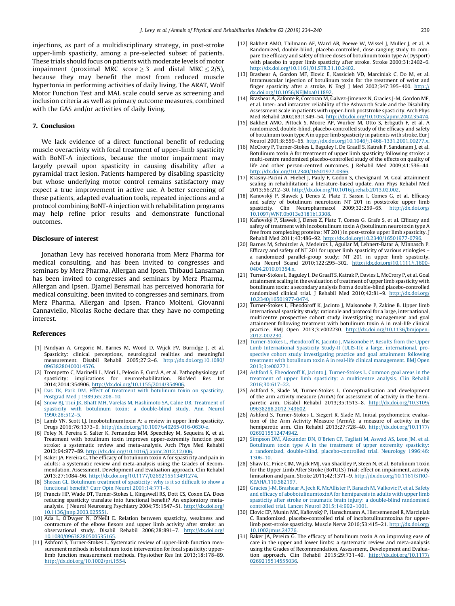<span id="page-5-0"></span>injections, as part of a multidisciplinary strategy, in post-stroke upper-limb spasticity, among a pre-selected subset of patients. These trials should focus on patients with moderate levels of motor impairment (proximal MRC score  $\geq$  3 and distal MRC  $\leq$  2/5), because they may benefit the most from reduced muscle hypertonia in performing activities of daily living. The ARAT, Wolf Motor Function Test and MAL scale could serve as screening and inclusion criteria as well as primary outcome measures, combined with the GAS and/or activities of daily living.

# 7. Conclusion

We lack evidence of a direct functional benefit of reducing muscle overactivity with focal treatment of upper-limb spasticity with BoNT-A injections, because the motor impairment may largely prevail upon spasticity in causing disability after a pyramidal tract lesion. Patients hampered by disabling spasticity but whose underlying motor control remains satisfactory may expect a true improvement in active use. A better screening of these patients, adapted evaluation tools, repeated injections and a protocol combining BoNT-A injection with rehabilitation programs may help refine prior results and demonstrate functional outcomes.

# Disclosure of interest

Jonathan Levy has received honoraria from Merz Pharma for medical consulting, and has been invited to congresses and seminars by Merz Pharma, Allergan and Ipsen. Thibaud Lansaman has been invited to congresses and seminars by Merz Pharma, Allergan and Ipsen. Djamel Bensmail has perceived honoraria for medical consulting, been invited to congresses and seminars, from Merz Pharma, Allergan and Ipsen. Franco Molteni, Giovanni Cannaviello, Nicolas Roche declare that they have no competing interest.

## References

- [1] Pandyan A, Gregoric M, Barnes M, Wood D, Wijck FV, Burridge J, et al. Spasticity: clinical perceptions, neurological realities and meaningful measurement. Disabil Rehabil 2005;27:2–[6.](http://dx.doi.org/10.1080/09638280400014576) [http://dx.doi.org/10.1080/](http://dx.doi.org/10.1080/09638280400014576) [09638280400014576](http://dx.doi.org/10.1080/09638280400014576).
- [2] Trompetto C, Marinelli L, Mori L, Pelosin E, Currà A, et al. Pathophysiology of spasticity: implications for neurorehabilitation. BioMed Res Int 2014;2014:35490[6.](http://dx.doi.org/10.1155/2014/354906) [http://dx.doi.org/10.1155/2014/354906.](http://dx.doi.org/10.1155/2014/354906)
- [3] [Das TK, Park DM. Effect of treatment with botulinum toxin on spasticity.](http://refhub.elsevier.com/S1877-0657(18)31409-X/sbref0015) [Postgrad Med J 1989;65:208–10.](http://refhub.elsevier.com/S1877-0657(18)31409-X/sbref0015)
- [4] [Snow BJ, Tsui JK, Bhatt MH, Varelas M, Hashimoto SA, Calne DB. Treatment of](http://refhub.elsevier.com/S1877-0657(18)31409-X/sbref0020) [spasticity with botulinum toxin: a double-blind study. Ann Neurol](http://refhub.elsevier.com/S1877-0657(18)31409-X/sbref0020) [1990;28:512–5.](http://refhub.elsevier.com/S1877-0657(18)31409-X/sbref0020)
- [5] Lamb YN, Scott LJ. Incobotulinumtoxin A: a review in upper limb spasticity. Drugs 2016;76:1373–[9.](http://dx.doi.org/10.1007/s40265-016-0630-z) <http://dx.doi.org/10.1007/s40265-016-0630-z>.
- [6] Foley N, Pereira S, Salter K, Fernandez MM, Speechley M, Sequeira K, et al. Treatment with botulinum toxin improves upper-extremity function post stroke: a systematic review and meta-analysis. Arch Phys Med Rehabil 2013;94:977–89[.](http://dx.doi.org/10.1016/j.apmr.2012.12.006) [http://dx.doi.org/10.1016/j.apmr.2012.12.006.](http://dx.doi.org/10.1016/j.apmr.2012.12.006)
- [7] Baker JA, Pereira G. The efficacy of botulinum toxin A for spasticity and pain in adults: a systematic review and meta-analysis using the Grades of Recommendation, Assessment, Development and Evaluation approach. Clin Rehabil 2013;27:1084–96[.](http://dx.doi.org/10.1177/0269215513491274) <http://dx.doi.org/10.1177/0269215513491274>.
- [8] [Sheean GL. Botulinum treatment of spasticity: why is it so difficult to show a](http://refhub.elsevier.com/S1877-0657(18)31409-X/sbref0040) [functional benefit? Curr Opin Neurol 2001;14:771–6.](http://refhub.elsevier.com/S1877-0657(18)31409-X/sbref0040)
- [9] Francis HP, Wade DT, Turner-Stokes L, Kingswell RS, Dott CS, Coxon EA. Does reducing spasticity translate into functional benefit? An exploratory metaanalysis. J Neurol Neurosurg Psychiatry 2004;75:1547–5[1.](http://dx.doi.org/10.1136/jnnp.2003.025551) [http://dx.doi.org/](http://dx.doi.org/10.1136/jnnp.2003.025551) [10.1136/jnnp.2003.025551](http://dx.doi.org/10.1136/jnnp.2003.025551).
- [10] Ada L, O'Dwyer N, O'Neill E. Relation between spasticity, weakness and contracture of the elbow flexors and upper limb activity after stroke: an observational study. Disabil Rehabil 2006;28:891–[7.](http://dx.doi.org/10.1080/09638280500535165) [http://dx.doi.org/](http://dx.doi.org/10.1080/09638280500535165) [10.1080/09638280500535165.](http://dx.doi.org/10.1080/09638280500535165)
- [11] Ashford S, Turner-Stokes L. Systematic review of upper-limb function measurement methods in botulinum toxin intervention for focal spasticity: upperlimb function measurement methods. Physiother Res Int 2013;18:178–89[.](http://dx.doi.org/10.1002/pri.1554) [http://dx.doi.org/10.1002/pri.1554.](http://dx.doi.org/10.1002/pri.1554)
- [12] Bakheit AMO, Thilmann AF, Ward AB, Poewe W, Wissel J, Muller J, et al. A Randomized, double-blind, placebo-controlled, dose-ranging study to compare the efficacy and safety of three doses of botulinum toxin type A (Dysport) with placebo in upper limb spasticity after stroke. Stroke 2000;31:2402–6[.](http://dx.doi.org/10.1161/01.STR.31.10.2402) <http://dx.doi.org/10.1161/01.STR.31.10.2402>.
- [13] Brashear A, Gordon MF, Elovic E, Kassicieh VD, Marciniak C, Do M, et al. Intramuscular injection of botulinum toxin for the treatment of wrist and finger spasticity after a stroke. N Engl J Med 2002;347:395–40[0.](http://dx.doi.org/10.1056/NEJMoa011892) [http://](http://dx.doi.org/10.1056/NEJMoa011892) [dx.doi.org/10.1056/NEJMoa011892](http://dx.doi.org/10.1056/NEJMoa011892).
- [14] Brashear A, Zafonte R, Corcoran M, Galvez-Jimenez N, Gracies J-M, Gordon MF, et al. Inter- and intrarater reliability of the Ashworth Scale and the Disability Assessment Scale in patients with upper-limb poststroke spasticity. Arch Phys Med Rehabil 2002;83:1349–5[4.](http://dx.doi.org/10.1053/apmr.2002.35474) [http://dx.doi.org/10.1053/apmr.2002.35474.](http://dx.doi.org/10.1053/apmr.2002.35474)
- [15] Bakheit AMO, Pittock S, Moore AP, Wurker M, Otto S, Erbguth F, et al. A randomized, double-blind, placebo-controlled study of the efficacy and safety of botulinum toxin type A in upper limb spasticity in patients with stroke. Eur J Neurol 2001;8:559–6[5.](http://dx.doi.org/10.1046/j.1468-1331.2001.00277.x) [http://dx.doi.org/10.1046/j.1468-1331.2001.00277.x.](http://dx.doi.org/10.1046/j.1468-1331.2001.00277.x)
- [16] McCrory P, Turner-Stokes L, Baguley I, De Graaff S, Katrak P, Sandanam J, et al. Botulinum toxin A for treatment of upper limb spasticity following stroke: a multi-centre randomized placebo-controlled study of the effects on quality of life and other person-centred outcomes. J Rehabil Med 2009;41:536–44[.](http://dx.doi.org/10.2340/16501977-0366) <http://dx.doi.org/10.2340/16501977-0366>.
- [17] Krasny-Pacini A, Hiebel J, Pauly F, Godon S, Chevignard M. Goal attainment scaling in rehabilitation: a literature-based update. Ann Phys Rehabil Med 2013;56:212–3[0.](http://dx.doi.org/10.1016/j.rehab.2013.02.002) <http://dx.doi.org/10.1016/j.rehab.2013.02.002>.
- [18] Kanovský P, Slawek J, Denes Z, Platz T, Sassin I, Comes G, et al. Efficacy and safety of botulinum neurotoxin NT 201 in poststroke upper limb spasticity. Clin Neuropharmacol 2009;32:259–6[5.](http://dx.doi.org/10.1097/WNF.0b013e3181b13308) [http://dx.doi.org/](http://dx.doi.org/10.1097/WNF.0b013e3181b13308) [10.1097/WNF.0b013e3181b13308](http://dx.doi.org/10.1097/WNF.0b013e3181b13308).
- [19] Kaňovský P, Slawek J, Denes Z, Platz T, Comes G, Grafe S, et al. Efficacy and safety of treatment with incobotulinum toxin A (botulinum neurotoxin type A free from complexing proteins; NT 201) in post-stroke upper limb spasticity. J Rehabil Med 2011;43:486–9[2.](http://dx.doi.org/10.2340/16501977-0796) [http://dx.doi.org/10.2340/16501977-0796.](http://dx.doi.org/10.2340/16501977-0796)
- [20] Barnes M, Schnitzler A, Medeiros L, Aguilar M, Lehnert-Batar A, Minnasch P. Efficacy and safety of NT 201 for upper limb spasticity of various etiologies – a randomized parallel-group study: NT 201 in upper limb spasticity. Acta Neurol Scand 2010;122:295–30[2.](http://dx.doi.org/10.1111/j.1600-0404.2010.01354.x) [http://dx.doi.org/10.1111/j.1600-](http://dx.doi.org/10.1111/j.1600-0404.2010.01354.x) [0404.2010.01354.x.](http://dx.doi.org/10.1111/j.1600-0404.2010.01354.x)
- [21] Turner-Stokes L, Baguley I, De Graaff S, Katrak P, Davies L, McCrory P, et al. Goal attainment scaling in the evaluation of treatment of upper limb spasticity with botulinum toxin: a secondary analysis from a double-blind placebo-controlled randomized clinical trial. J Rehabil Med 2010;42:81-[9.](http://dx.doi.org/10.2340/16501977-0474) [http://dx.doi.org/](http://dx.doi.org/10.2340/16501977-0474) [10.2340/16501977-0474](http://dx.doi.org/10.2340/16501977-0474).
- [22] Turner-Stokes L, Fheodoroff K, Jacinto J, Maisonobe P, Zakine B. Upper limb international spasticity study: rationale and protocol for a large, international, multicentre prospective cohort study investigating management and goal attainment following treatment with botulinum toxin A in real-life clinical practice[.](http://dx.doi.org/10.1136/bmjopen-2012-002230) BMJ Open 2013;3:e002230. [http://dx.doi.org/10.1136/bmjopen-](http://dx.doi.org/10.1136/bmjopen-2012-002230)[2012-002230](http://dx.doi.org/10.1136/bmjopen-2012-002230).
- [23] [Turner-Stokes L, Fheodoroff K, Jacinto J, Maisonobe P. Results from the Upper](http://refhub.elsevier.com/S1877-0657(18)31409-X/sbref0115) [Limb International Spasticity Study-II \(ULIS-II\): a large, international, pro](http://refhub.elsevier.com/S1877-0657(18)31409-X/sbref0115)[spective cohort study investigating practice and goal attainment following](http://refhub.elsevier.com/S1877-0657(18)31409-X/sbref0115) [treatment with botulinum toxin A in real-life clinical management. BMJ Open](http://refhub.elsevier.com/S1877-0657(18)31409-X/sbref0115) [2013;3:e002771.](http://refhub.elsevier.com/S1877-0657(18)31409-X/sbref0115)
- [24] [Ashford S, Fheodoroff K, Jacinto J, Turner-Stokes L. Common goal areas in the](http://refhub.elsevier.com/S1877-0657(18)31409-X/sbref0120) [treatment of upper limb spasticity: a multicentre analysis. Clin Rehabil](http://refhub.elsevier.com/S1877-0657(18)31409-X/sbref0120) [2016;30:617–22](http://refhub.elsevier.com/S1877-0657(18)31409-X/sbref0120).
- [25] Ashford S, Slade M, Turner-Stokes L. Conceptualisation and development of the arm activity measure (ArmA) for assessment of activity in the hemiparetic arm. Disabil Rehabil 2013;35:1513–[8.](http://dx.doi.org/10.3109/09638288.2012.743602) [http://dx.doi.org/10.3109/](http://dx.doi.org/10.3109/09638288.2012.743602) [09638288.2012.743602.](http://dx.doi.org/10.3109/09638288.2012.743602)
- [26] Ashford S, Turner-Stokes L, Siegert R, Slade M. Initial psychometric evaluation of the Arm Activity Measure (ArmA): a measure of activity in the hemiparetic arm. Clin Rehabil 2013;27:728–40[.](http://dx.doi.org/10.1177/0269215512474942) [http://dx.doi.org/10.1177/](http://dx.doi.org/10.1177/0269215512474942) [0269215512474942](http://dx.doi.org/10.1177/0269215512474942).
- [27] [Simpson DM, Alexander DN, O'Brien CF, Tagliati M, Aswad AS, Leon JM, et al.](http://refhub.elsevier.com/S1877-0657(18)31409-X/sbref0135) [Botulinum toxin type A in the treatment of upper extremity spasticity:](http://refhub.elsevier.com/S1877-0657(18)31409-X/sbref0135) [a randomized, double-blind, placebo-controlled trial. Neurology 1996;46:](http://refhub.elsevier.com/S1877-0657(18)31409-X/sbref0135) [1306–10](http://refhub.elsevier.com/S1877-0657(18)31409-X/sbref0135).
- [28] Shaw LC, Price CIM, Wijck FMJ, van Shackley P, Steen N, et al. Botulinum Toxin for the Upper Limb After Stroke (BoTULS) Trial: effect on impairment, activity limitation and pain[.](http://dx.doi.org/10.1161/STROKEAHA.110.582197) Stroke 2011;42:1371-9. [http://dx.doi.org/10.1161/STRO-](http://dx.doi.org/10.1161/STROKEAHA.110.582197)[KEAHA.110.582197.](http://dx.doi.org/10.1161/STROKEAHA.110.582197)
- [29] [Gracies J-M, Brashear A, Jech R, McAllister P, Banach M, Valkovic P, et al. Safety](http://refhub.elsevier.com/S1877-0657(18)31409-X/sbref0145) [and efficacy of abobotulinumtoxinA for hemiparesis in adults with upper limb](http://refhub.elsevier.com/S1877-0657(18)31409-X/sbref0145) [spasticity after stroke or traumatic brain injury: a double-blind randomised](http://refhub.elsevier.com/S1877-0657(18)31409-X/sbref0145) [controlled trial. Lancet Neurol 2015;14:992–1001.](http://refhub.elsevier.com/S1877-0657(18)31409-X/sbref0145)
- [30] Elovic EP, Munin MC, Kaňovský P, Hanschmann A, Hiersemenzel R, Marciniak C. Randomized, placebo-controlled trial of incobotulinumtoxina for upper-limb post-stroke spasticity. Muscle Nerve 2016;53:415-2[1.](http://dx.doi.org/10.1002/mus.24776) [http://dx.doi.org/](http://dx.doi.org/10.1002/mus.24776) [10.1002/mus.24776](http://dx.doi.org/10.1002/mus.24776).
- [31] Baker JA, Pereira G. The efficacy of botulinum toxin A on improving ease of care in the upper and lower limbs: a systematic review and meta-analysis using the Grades of Recommendation, Assessment, Development and Evaluation approach. Clin Rehabil 2015;29:731–4[0.](http://dx.doi.org/10.1177/0269215514555036) [http://dx.doi.org/10.1177/](http://dx.doi.org/10.1177/0269215514555036) [0269215514555036](http://dx.doi.org/10.1177/0269215514555036).